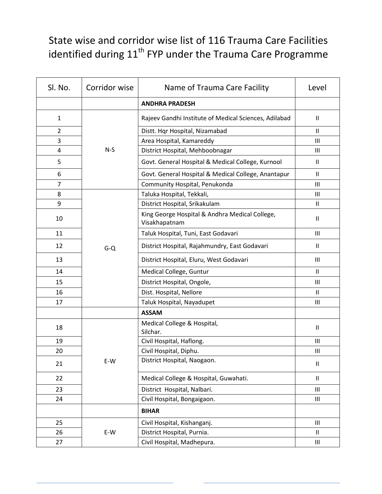## State wise and corridor wise list of 116 Trauma Care Facilities identified during  $11^{th}$  FYP under the Trauma Care Programme

| SI. No. | Corridor wise | Name of Trauma Care Facility                                    | Level                      |
|---------|---------------|-----------------------------------------------------------------|----------------------------|
|         |               | <b>ANDHRA PRADESH</b>                                           |                            |
| 1       |               | Rajeev Gandhi Institute of Medical Sciences, Adilabad           | $\mathbf{H}$               |
| 2       |               | Distt. Hqr Hospital, Nizamabad                                  | Ш                          |
| 3       |               | Area Hospital, Kamareddy                                        | III                        |
| 4       | $N-S$         | District Hospital, Mehboobnagar                                 | Ш                          |
| 5       |               | Govt. General Hospital & Medical College, Kurnool               | $\mathbf{H}$               |
| 6       |               | Govt. General Hospital & Medical College, Anantapur             | Ш                          |
| 7       |               | Community Hospital, Penukonda                                   | Ш                          |
| 8       |               | Taluka Hospital, Tekkali,                                       | Ш                          |
| 9       |               | District Hospital, Srikakulam                                   | Ш                          |
| 10      |               | King George Hospital & Andhra Medical College,<br>Visakhapatnam | $\mathbf{I}$               |
| 11      |               | Taluk Hospital, Tuni, East Godavari                             | Ш                          |
| 12      | $G - Q$       | District Hospital, Rajahmundry, East Godavari                   | Ш                          |
| 13      |               | District Hospital, Eluru, West Godavari                         | III                        |
| 14      |               | Medical College, Guntur                                         | Ш                          |
| 15      |               | District Hospital, Ongole,                                      | Ш                          |
| 16      |               | Dist. Hospital, Nellore                                         | $\mathbf{H}$               |
| 17      |               | Taluk Hospital, Nayadupet                                       | III                        |
|         |               | <b>ASSAM</b>                                                    |                            |
| 18      |               | Medical College & Hospital,<br>Silchar.                         | Ш                          |
| 19      |               | Civil Hospital, Haflong.                                        | Ш                          |
| 20      |               | Civil Hospital, Diphu.                                          | $\mathbf{III}$             |
| 21      | E-W           | District Hospital, Naogaon.                                     | $\ensuremath{\mathsf{II}}$ |
| 22      |               | Medical College & Hospital, Guwahati.                           | $\mathsf{II}$              |
| 23      |               | District Hospital, Nalbari.                                     | Ш                          |
| 24      |               | Civil Hospital, Bongaigaon.                                     | Ш                          |
|         |               | <b>BIHAR</b>                                                    |                            |
| 25      | E-W           | Civil Hospital, Kishanganj.                                     | III                        |
| 26      |               | District Hospital, Purnia.                                      | Ш                          |
| 27      |               | Civil Hospital, Madhepura.                                      | Ш                          |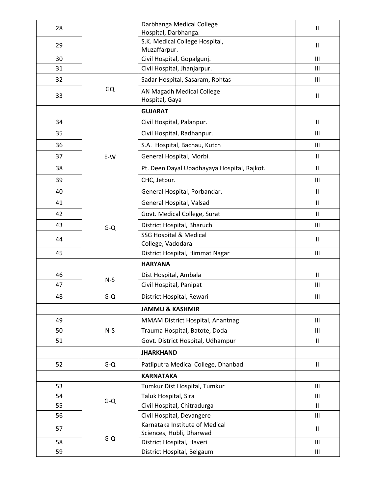| 28 |         | Darbhanga Medical College                                  | Ш                          |
|----|---------|------------------------------------------------------------|----------------------------|
|    |         | Hospital, Darbhanga.                                       |                            |
| 29 |         | S.K. Medical College Hospital,<br>Muzaffarpur.             | $\mathbf{H}$               |
| 30 |         | Civil Hospital, Gopalgunj.                                 | Ш                          |
| 31 |         | Civil Hospital, Jhanjarpur.                                | Ш                          |
| 32 |         | Sadar Hospital, Sasaram, Rohtas                            | III                        |
| 33 | GQ      | AN Magadh Medical College                                  |                            |
|    |         | Hospital, Gaya                                             | $\mathbf{I}$               |
|    |         | <b>GUJARAT</b>                                             |                            |
| 34 |         | Civil Hospital, Palanpur.                                  | Ш                          |
| 35 |         | Civil Hospital, Radhanpur.                                 | Ш                          |
| 36 |         | S.A. Hospital, Bachau, Kutch                               | Ш                          |
| 37 | E-W     | General Hospital, Morbi.                                   | $\mathbf{H}$               |
| 38 |         | Pt. Deen Dayal Upadhayaya Hospital, Rajkot.                | $\mathbf{H}$               |
| 39 |         | CHC, Jetpur.                                               | Ш                          |
| 40 |         | General Hospital, Porbandar.                               | $\mathbf{H}$               |
| 41 |         | General Hospital, Valsad                                   | $\mathbf{I}$               |
| 42 |         | Govt. Medical College, Surat                               | $\mathbf{I}$               |
| 43 | $G-Q$   | District Hospital, Bharuch                                 | Ш                          |
| 44 |         | <b>SSG Hospital &amp; Medical</b>                          | Ш                          |
| 45 |         | College, Vadodara<br>District Hospital, Himmat Nagar       | Ш                          |
|    |         | <b>HARYANA</b>                                             |                            |
| 46 |         | Dist Hospital, Ambala                                      | $\ensuremath{\mathsf{II}}$ |
| 47 | $N-S$   | Civil Hospital, Panipat                                    | Ш                          |
| 48 | $G-Q$   | District Hospital, Rewari                                  | Ш                          |
|    |         | <b>JAMMU &amp; KASHMIR</b>                                 |                            |
| 49 |         | MMAM District Hospital, Anantnag                           | Ш                          |
| 50 | $N-S$   | Trauma Hospital, Batote, Doda                              | Ш                          |
| 51 |         | Govt. District Hospital, Udhampur                          | $\ensuremath{\mathsf{II}}$ |
|    |         | <b>JHARKHAND</b>                                           |                            |
| 52 | $G-Q$   | Patliputra Medical College, Dhanbad                        | $\mathsf{II}$              |
|    |         | <b>KARNATAKA</b>                                           |                            |
| 53 |         | Tumkur Dist Hospital, Tumkur                               | III                        |
| 54 | $G-Q$   | Taluk Hospital, Sira                                       | Ш                          |
| 55 |         | Civil Hospital, Chitradurga                                | Ш                          |
| 56 |         | Civil Hospital, Devangere                                  | Ш                          |
| 57 |         | Karnataka Institute of Medical<br>Sciences, Hubli, Dharwad | Ш                          |
| 58 | $G - Q$ | District Hospital, Haveri                                  | Ш                          |
| 59 |         | District Hospital, Belgaum                                 | Ш                          |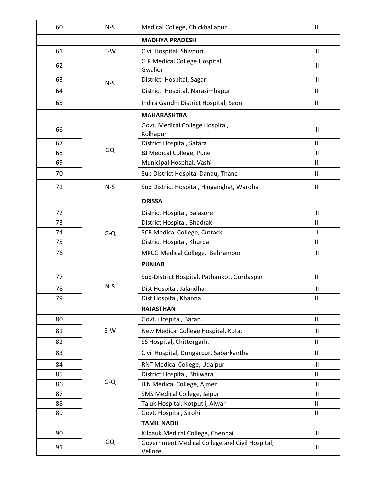| 60 | $N-S$ | Medical College, Chickballapur                            | $\mathbf{III}$                     |
|----|-------|-----------------------------------------------------------|------------------------------------|
|    |       | <b>MADHYA PRADESH</b>                                     |                                    |
| 61 | E-W   | Civil Hospital, Shivpuri.                                 | Ш                                  |
| 62 | $N-S$ | G R Medical College Hospital,<br>Gwalior                  | Ш                                  |
| 63 |       | District Hospital, Sagar                                  | $\mathbf{II}$                      |
| 64 |       | District Hospital, Narasimhapur                           | $\mathbf{III}$                     |
| 65 |       | Indira Gandhi District Hospital, Seoni                    | Ш                                  |
|    |       | <b>MAHARASHTRA</b>                                        |                                    |
| 66 |       | Govt. Medical College Hospital,<br>Kolhapur               | $\mathbf{H}$                       |
| 67 |       | District Hospital, Satara                                 | $\mathbf{III}$                     |
| 68 | GQ    | <b>BJ Medical College, Pune</b>                           | $\mathbf{II}$                      |
| 69 |       | Municipal Hospital, Vashi                                 | $\mathbf{III}$                     |
| 70 |       | Sub District Hospital Danau, Thane                        | $\mathbf{III}$                     |
| 71 | $N-S$ | Sub District Hospital, Hinganghat, Wardha                 | $\mathbf{III}$                     |
|    |       | <b>ORISSA</b>                                             |                                    |
| 72 |       | District Hospital, Balasore                               | $\mathbf{I}$                       |
| 73 |       | District Hospital, Bhadrak                                | $\mathbf{III}$                     |
| 74 | $G-Q$ | <b>SCB Medical College, Cuttack</b>                       | $\mathsf{I}$                       |
| 75 |       | District Hospital, Khurda                                 | $\mathbf{III}$                     |
| 76 |       | MKCG Medical College, Behrampur                           | Ш                                  |
|    |       | <b>PUNJAB</b>                                             |                                    |
| 77 |       | Sub-District Hospital, Pathankot, Gurdaspur               | $\mathbf{III}$                     |
| 78 | $N-S$ | Dist Hospital, Jalandhar                                  | $\mathbf{H}$                       |
| 79 |       | Dist Hospital, Khanna                                     | Ш                                  |
|    |       | <b>RAJASTHAN</b>                                          |                                    |
| 80 |       | Govt. Hospital, Baran.                                    | $\ensuremath{\mathsf{III}}\xspace$ |
| 81 | E-W   | New Medical College Hospital, Kota.                       | $\mathbf{H}$                       |
| 82 |       | SS Hospital, Chittorgarh.                                 | $\mathbf{III}$                     |
| 83 |       | Civil Hospital, Dungarpur, Sabarkantha                    | $\mathop{\rm III}\nolimits$        |
| 84 |       | RNT Medical College, Udaipur                              | Ш                                  |
| 85 |       | District Hospital, Bhilwara                               | III                                |
| 86 | $G-Q$ | JLN Medical College, Ajmer                                | Ш                                  |
| 87 |       | SMS Medical College, Jaipur                               | $\mathbf{I}$                       |
| 88 |       | Taluk Hospital, Kotputli, Alwar                           | $\mathop{\rm III}\nolimits$        |
| 89 |       | Govt. Hospital, Sirohi                                    | Ш                                  |
|    |       | <b>TAMIL NADU</b>                                         |                                    |
| 90 |       | Kilpauk Medical College, Chennai                          | $\mathbf{II}$                      |
| 91 | GQ    | Government Medical College and Civil Hospital,<br>Vellore | $\sf II$                           |